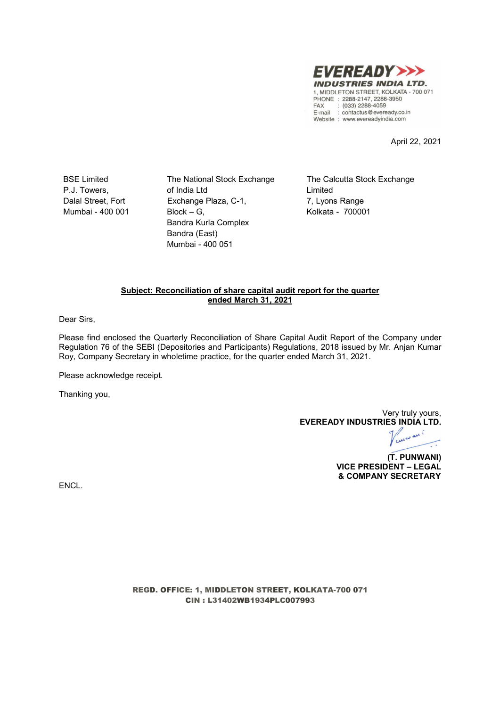

April 22, 2021

BSE Limited P.J. Towers, Dalal Street, Fort Mumbai - 400 001 The National Stock Exchange of India Ltd Exchange Plaza, C-1,  $Block - G$ , Bandra Kurla Complex Bandra (East) Mumbai - 400 051

The Calcutta Stock Exchange Limited 7, Lyons Range Kolkata - 700001

## Subject: Reconciliation of share capital audit report for the quarter ended March 31, 2021

Dear Sirs,

Please find enclosed the Quarterly Reconciliation of Share Capital Audit Report of the Company under Regulation 76 of the SEBI (Depositories and Participants) Regulations, 2018 issued by Mr. Anjan Kumar Roy, Company Secretary in wholetime practice, for the quarter ended March 31, 2021.

Please acknowledge receipt.

Thanking you,

Very truly yours, EVEREADY INDUSTRIES INDIA LTD.

sure as i

(T. PUNWANI) VICE PRESIDENT – LEGAL & COMPANY SECRETARY

ENCL.

REGD. OFFICE: 1, MIDDLETON STREET, KOLKATA-700 071 CIN : L31402WB1934PLC007993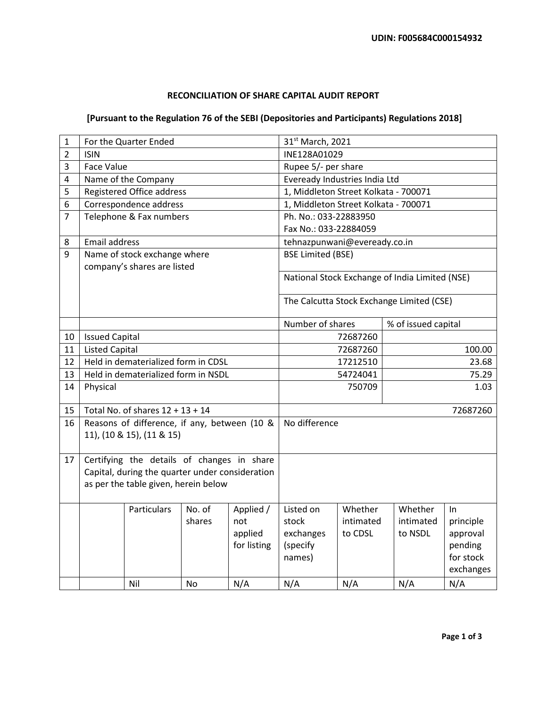## **RECONCILIATION OF SHARE CAPITAL AUDIT REPORT**

## **[Pursuant to the Regulation 76 of the SEBI (Depositories and Participants) Regulations 2018]**

| $\overline{2}$<br><b>ISIN</b><br>INE128A01029<br><b>Face Value</b><br>Rupee 5/- per share<br>3<br>4<br>Name of the Company<br>Eveready Industries India Ltd<br>5<br><b>Registered Office address</b><br>1, Middleton Street Kolkata - 700071<br>6<br>Correspondence address<br>1, Middleton Street Kolkata - 700071<br>Telephone & Fax numbers<br>Ph. No.: 033-22883950<br>$\overline{7}$<br>Fax No.: 033-22884059<br><b>Email address</b><br>tehnazpunwani@eveready.co.in<br>8<br>9<br>Name of stock exchange where<br><b>BSE Limited (BSE)</b><br>company's shares are listed<br>National Stock Exchange of India Limited (NSE)<br>The Calcutta Stock Exchange Limited (CSE)<br>Number of shares<br><b>Issued Capital</b><br>72687260<br>10<br>11<br><b>Listed Capital</b><br>72687260<br>Held in dematerialized form in CDSL<br>12<br>17212510<br>Held in dematerialized form in NSDL<br>54724041<br>13<br>Physical<br>750709<br>14<br>Total No. of shares $12 + 13 + 14$<br>15<br>Reasons of difference, if any, between (10 &<br>No difference<br>16<br>11), (10 & 15), (11 & 15)<br>Certifying the details of changes in share<br>17<br>Capital, during the quarter under consideration<br>as per the table given, herein below<br>No. of<br>Applied /<br>Whether<br>Whether<br>Particulars<br>Listed on<br>intimated<br>intimated<br>shares<br>not<br>stock<br>exchanges<br>to CDSL<br>to NSDL<br>applied<br>for listing<br>(specify<br>names) | 1 |  | For the Quarter Ended |  |        | 31st March, 2021 |                     |  |                                                                          |
|-------------------------------------------------------------------------------------------------------------------------------------------------------------------------------------------------------------------------------------------------------------------------------------------------------------------------------------------------------------------------------------------------------------------------------------------------------------------------------------------------------------------------------------------------------------------------------------------------------------------------------------------------------------------------------------------------------------------------------------------------------------------------------------------------------------------------------------------------------------------------------------------------------------------------------------------------------------------------------------------------------------------------------------------------------------------------------------------------------------------------------------------------------------------------------------------------------------------------------------------------------------------------------------------------------------------------------------------------------------------------------------------------------------------------------------------------------|---|--|-----------------------|--|--------|------------------|---------------------|--|--------------------------------------------------------------------------|
|                                                                                                                                                                                                                                                                                                                                                                                                                                                                                                                                                                                                                                                                                                                                                                                                                                                                                                                                                                                                                                                                                                                                                                                                                                                                                                                                                                                                                                                       |   |  |                       |  |        |                  |                     |  |                                                                          |
|                                                                                                                                                                                                                                                                                                                                                                                                                                                                                                                                                                                                                                                                                                                                                                                                                                                                                                                                                                                                                                                                                                                                                                                                                                                                                                                                                                                                                                                       |   |  |                       |  |        |                  |                     |  |                                                                          |
|                                                                                                                                                                                                                                                                                                                                                                                                                                                                                                                                                                                                                                                                                                                                                                                                                                                                                                                                                                                                                                                                                                                                                                                                                                                                                                                                                                                                                                                       |   |  |                       |  |        |                  |                     |  |                                                                          |
|                                                                                                                                                                                                                                                                                                                                                                                                                                                                                                                                                                                                                                                                                                                                                                                                                                                                                                                                                                                                                                                                                                                                                                                                                                                                                                                                                                                                                                                       |   |  |                       |  |        |                  |                     |  |                                                                          |
|                                                                                                                                                                                                                                                                                                                                                                                                                                                                                                                                                                                                                                                                                                                                                                                                                                                                                                                                                                                                                                                                                                                                                                                                                                                                                                                                                                                                                                                       |   |  |                       |  |        |                  |                     |  |                                                                          |
|                                                                                                                                                                                                                                                                                                                                                                                                                                                                                                                                                                                                                                                                                                                                                                                                                                                                                                                                                                                                                                                                                                                                                                                                                                                                                                                                                                                                                                                       |   |  |                       |  |        |                  |                     |  |                                                                          |
|                                                                                                                                                                                                                                                                                                                                                                                                                                                                                                                                                                                                                                                                                                                                                                                                                                                                                                                                                                                                                                                                                                                                                                                                                                                                                                                                                                                                                                                       |   |  |                       |  |        |                  |                     |  |                                                                          |
|                                                                                                                                                                                                                                                                                                                                                                                                                                                                                                                                                                                                                                                                                                                                                                                                                                                                                                                                                                                                                                                                                                                                                                                                                                                                                                                                                                                                                                                       |   |  |                       |  |        |                  |                     |  |                                                                          |
|                                                                                                                                                                                                                                                                                                                                                                                                                                                                                                                                                                                                                                                                                                                                                                                                                                                                                                                                                                                                                                                                                                                                                                                                                                                                                                                                                                                                                                                       |   |  |                       |  |        |                  |                     |  |                                                                          |
|                                                                                                                                                                                                                                                                                                                                                                                                                                                                                                                                                                                                                                                                                                                                                                                                                                                                                                                                                                                                                                                                                                                                                                                                                                                                                                                                                                                                                                                       |   |  |                       |  |        |                  |                     |  |                                                                          |
|                                                                                                                                                                                                                                                                                                                                                                                                                                                                                                                                                                                                                                                                                                                                                                                                                                                                                                                                                                                                                                                                                                                                                                                                                                                                                                                                                                                                                                                       |   |  |                       |  |        |                  |                     |  |                                                                          |
|                                                                                                                                                                                                                                                                                                                                                                                                                                                                                                                                                                                                                                                                                                                                                                                                                                                                                                                                                                                                                                                                                                                                                                                                                                                                                                                                                                                                                                                       |   |  |                       |  |        |                  |                     |  |                                                                          |
|                                                                                                                                                                                                                                                                                                                                                                                                                                                                                                                                                                                                                                                                                                                                                                                                                                                                                                                                                                                                                                                                                                                                                                                                                                                                                                                                                                                                                                                       |   |  |                       |  |        |                  | % of issued capital |  |                                                                          |
|                                                                                                                                                                                                                                                                                                                                                                                                                                                                                                                                                                                                                                                                                                                                                                                                                                                                                                                                                                                                                                                                                                                                                                                                                                                                                                                                                                                                                                                       |   |  |                       |  |        |                  |                     |  |                                                                          |
|                                                                                                                                                                                                                                                                                                                                                                                                                                                                                                                                                                                                                                                                                                                                                                                                                                                                                                                                                                                                                                                                                                                                                                                                                                                                                                                                                                                                                                                       |   |  |                       |  | 100.00 |                  |                     |  |                                                                          |
|                                                                                                                                                                                                                                                                                                                                                                                                                                                                                                                                                                                                                                                                                                                                                                                                                                                                                                                                                                                                                                                                                                                                                                                                                                                                                                                                                                                                                                                       |   |  |                       |  | 23.68  |                  |                     |  |                                                                          |
|                                                                                                                                                                                                                                                                                                                                                                                                                                                                                                                                                                                                                                                                                                                                                                                                                                                                                                                                                                                                                                                                                                                                                                                                                                                                                                                                                                                                                                                       |   |  |                       |  | 75.29  |                  |                     |  |                                                                          |
|                                                                                                                                                                                                                                                                                                                                                                                                                                                                                                                                                                                                                                                                                                                                                                                                                                                                                                                                                                                                                                                                                                                                                                                                                                                                                                                                                                                                                                                       |   |  |                       |  |        |                  |                     |  | 1.03                                                                     |
|                                                                                                                                                                                                                                                                                                                                                                                                                                                                                                                                                                                                                                                                                                                                                                                                                                                                                                                                                                                                                                                                                                                                                                                                                                                                                                                                                                                                                                                       |   |  |                       |  |        |                  |                     |  |                                                                          |
|                                                                                                                                                                                                                                                                                                                                                                                                                                                                                                                                                                                                                                                                                                                                                                                                                                                                                                                                                                                                                                                                                                                                                                                                                                                                                                                                                                                                                                                       |   |  |                       |  |        |                  |                     |  | 72687260                                                                 |
|                                                                                                                                                                                                                                                                                                                                                                                                                                                                                                                                                                                                                                                                                                                                                                                                                                                                                                                                                                                                                                                                                                                                                                                                                                                                                                                                                                                                                                                       |   |  |                       |  |        |                  |                     |  |                                                                          |
|                                                                                                                                                                                                                                                                                                                                                                                                                                                                                                                                                                                                                                                                                                                                                                                                                                                                                                                                                                                                                                                                                                                                                                                                                                                                                                                                                                                                                                                       |   |  |                       |  |        |                  |                     |  |                                                                          |
| Nil<br>N/A<br>N/A<br>N/A<br>N/A<br>No                                                                                                                                                                                                                                                                                                                                                                                                                                                                                                                                                                                                                                                                                                                                                                                                                                                                                                                                                                                                                                                                                                                                                                                                                                                                                                                                                                                                                 |   |  |                       |  |        |                  |                     |  | In.<br>principle<br>approval<br>pending<br>for stock<br>exchanges<br>N/A |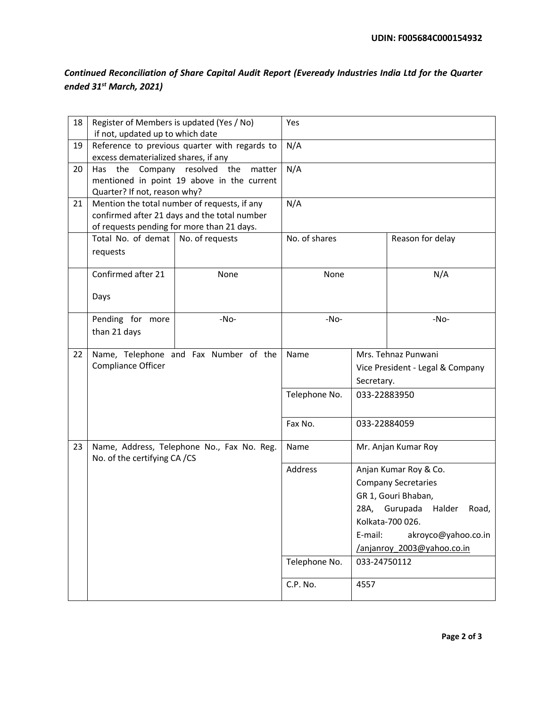*Continued Reconciliation of Share Capital Audit Report (Eveready Industries India Ltd for the Quarter ended 31st March, 2021)*

| 18 | Register of Members is updated (Yes / No)<br>if not, updated up to which date |                                                                                                                                            | Yes                                                                                                            |                                                                       |                  |  |
|----|-------------------------------------------------------------------------------|--------------------------------------------------------------------------------------------------------------------------------------------|----------------------------------------------------------------------------------------------------------------|-----------------------------------------------------------------------|------------------|--|
| 19 | excess dematerialized shares, if any                                          | Reference to previous quarter with regards to                                                                                              | N/A                                                                                                            |                                                                       |                  |  |
| 20 | Has the<br>Quarter? If not, reason why?                                       | Company resolved the<br>matter<br>mentioned in point 19 above in the current                                                               | N/A                                                                                                            |                                                                       |                  |  |
| 21 |                                                                               | Mention the total number of requests, if any<br>confirmed after 21 days and the total number<br>of requests pending for more than 21 days. | N/A                                                                                                            |                                                                       |                  |  |
|    | Total No. of demat<br>No. of requests<br>requests                             |                                                                                                                                            | No. of shares                                                                                                  |                                                                       | Reason for delay |  |
|    | Confirmed after 21<br>Days                                                    | None                                                                                                                                       | None                                                                                                           |                                                                       | N/A              |  |
|    | Pending for more<br>than 21 days                                              | $-No-$                                                                                                                                     | $-No-$                                                                                                         |                                                                       | -No-             |  |
| 22 | Name, Telephone and Fax Number of the<br>Compliance Officer                   | Name                                                                                                                                       | Mrs. Tehnaz Punwani<br>Vice President - Legal & Company<br>Secretary.                                          |                                                                       |                  |  |
|    |                                                                               |                                                                                                                                            | Telephone No.                                                                                                  | 033-22883950                                                          |                  |  |
|    |                                                                               | Fax No.                                                                                                                                    | 033-22884059                                                                                                   |                                                                       |                  |  |
| 23 | Name, Address, Telephone No., Fax No. Reg.<br>No. of the certifying CA /CS    | Name                                                                                                                                       | Mr. Anjan Kumar Roy                                                                                            |                                                                       |                  |  |
|    |                                                                               | Address                                                                                                                                    | Anjan Kumar Roy & Co.<br><b>Company Secretaries</b><br>GR 1, Gouri Bhaban,<br>28A, Gurupada<br>Halder<br>Road, |                                                                       |                  |  |
|    |                                                                               |                                                                                                                                            | E-mail:                                                                                                        | Kolkata-700 026.<br>akroyco@yahoo.co.in<br>/anjanroy 2003@yahoo.co.in |                  |  |
|    |                                                                               |                                                                                                                                            | Telephone No.                                                                                                  | 033-24750112                                                          |                  |  |
|    |                                                                               |                                                                                                                                            | C.P. No.                                                                                                       | 4557                                                                  |                  |  |